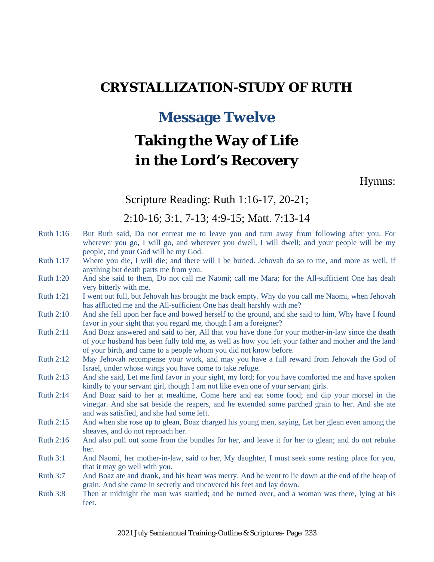## **CRYSTALLIZATION-STUDY OF RUTH**

## **Message Twelve**

# **Taking the Way of Life in the Lord's Recovery**

Hymns:

#### Scripture Reading: Ruth 1:16-17, 20-21;

#### 2:10-16; 3:1, 7-13; 4:9-15; Matt. 7:13-14

- Ruth 1:16 But Ruth said, Do not entreat me to leave you and turn away from following after you. For wherever you go, I will go, and wherever you dwell, I will dwell; and your people will be my people, and your God will be my God.
- Ruth 1:17 Where you die, I will die; and there will I be buried. Jehovah do so to me, and more as well, if anything but death parts me from you.
- Ruth 1:20 And she said to them, Do not call me Naomi; call me Mara; for the All-sufficient One has dealt very bitterly with me.
- Ruth 1:21 I went out full, but Jehovah has brought me back empty. Why do you call me Naomi, when Jehovah has afflicted me and the All-sufficient One has dealt harshly with me?
- Ruth 2:10 And she fell upon her face and bowed herself to the ground, and she said to him, Why have I found favor in your sight that you regard me, though I am a foreigner?
- Ruth 2:11 And Boaz answered and said to her, All that you have done for your mother-in-law since the death of your husband has been fully told me, as well as how you left your father and mother and the land of your birth, and came to a people whom you did not know before.
- Ruth 2:12 May Jehovah recompense your work, and may you have a full reward from Jehovah the God of Israel, under whose wings you have come to take refuge.
- Ruth 2:13 And she said, Let me find favor in your sight, my lord; for you have comforted me and have spoken kindly to your servant girl, though I am not like even one of your servant girls.
- Ruth 2:14 And Boaz said to her at mealtime, Come here and eat some food; and dip your morsel in the vinegar. And she sat beside the reapers, and he extended some parched grain to her. And she ate and was satisfied, and she had some left.
- Ruth 2:15 And when she rose up to glean, Boaz charged his young men, saying, Let her glean even among the sheaves, and do not reproach her.
- Ruth 2:16 And also pull out some from the bundles for her, and leave it for her to glean; and do not rebuke her.
- Ruth 3:1 And Naomi, her mother-in-law, said to her, My daughter, I must seek some resting place for you, that it may go well with you.
- Ruth 3:7 And Boaz ate and drank, and his heart was merry. And he went to lie down at the end of the heap of grain. And she came in secretly and uncovered his feet and lay down.
- Ruth 3:8 Then at midnight the man was startled; and he turned over, and a woman was there, lying at his feet.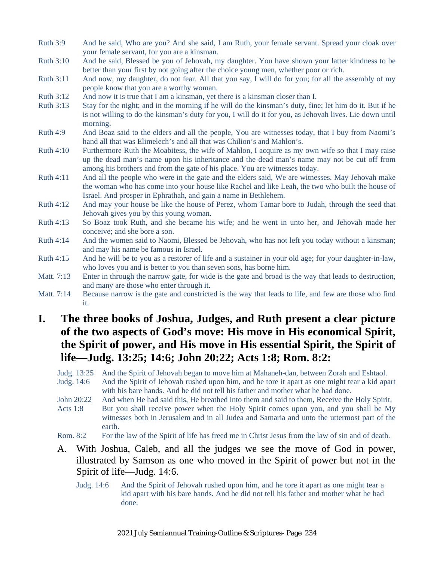- Ruth 3:9 And he said, Who are you? And she said, I am Ruth, your female servant. Spread your cloak over your female servant, for you are a kinsman.
- Ruth 3:10 And he said, Blessed be you of Jehovah, my daughter. You have shown your latter kindness to be better than your first by not going after the choice young men, whether poor or rich.
- Ruth 3:11 And now, my daughter, do not fear. All that you say, I will do for you; for all the assembly of my people know that you are a worthy woman.
- Ruth 3:12 And now it is true that I am a kinsman, yet there is a kinsman closer than I.
- Ruth 3:13 Stay for the night; and in the morning if he will do the kinsman's duty, fine; let him do it. But if he is not willing to do the kinsman's duty for you, I will do it for you, as Jehovah lives. Lie down until morning.
- Ruth 4:9 And Boaz said to the elders and all the people, You are witnesses today, that I buy from Naomi's hand all that was Elimelech's and all that was Chilion's and Mahlon's.
- Ruth 4:10 Furthermore Ruth the Moabitess, the wife of Mahlon, I acquire as my own wife so that I may raise up the dead man's name upon his inheritance and the dead man's name may not be cut off from among his brothers and from the gate of his place. You are witnesses today.
- Ruth 4:11 And all the people who were in the gate and the elders said, We are witnesses. May Jehovah make the woman who has come into your house like Rachel and like Leah, the two who built the house of Israel. And prosper in Ephrathah, and gain a name in Bethlehem.
- Ruth 4:12 And may your house be like the house of Perez, whom Tamar bore to Judah, through the seed that Jehovah gives you by this young woman.
- Ruth 4:13 So Boaz took Ruth, and she became his wife; and he went in unto her, and Jehovah made her conceive; and she bore a son.
- Ruth 4:14 And the women said to Naomi, Blessed be Jehovah, who has not left you today without a kinsman; and may his name be famous in Israel.
- Ruth 4:15 And he will be to you as a restorer of life and a sustainer in your old age; for your daughter-in-law, who loves you and is better to you than seven sons, has borne him.
- Matt. 7:13 Enter in through the narrow gate, for wide is the gate and broad is the way that leads to destruction, and many are those who enter through it.
- Matt. 7:14 Because narrow is the gate and constricted is the way that leads to life, and few are those who find it.

### **I. The three books of Joshua, Judges, and Ruth present a clear picture of the two aspects of God's move: His move in His economical Spirit, the Spirit of power, and His move in His essential Spirit, the Spirit of life—Judg. 13:25; 14:6; John 20:22; Acts 1:8; Rom. 8:2:**

- Judg. 13:25 And the Spirit of Jehovah began to move him at Mahaneh-dan, between Zorah and Eshtaol.
- Judg. 14:6 And the Spirit of Jehovah rushed upon him, and he tore it apart as one might tear a kid apart with his bare hands. And he did not tell his father and mother what he had done.
- John 20:22 And when He had said this, He breathed into them and said to them, Receive the Holy Spirit.
- Acts 1:8 But you shall receive power when the Holy Spirit comes upon you, and you shall be My witnesses both in Jerusalem and in all Judea and Samaria and unto the uttermost part of the earth.
- Rom. 8:2 For the law of the Spirit of life has freed me in Christ Jesus from the law of sin and of death.
- A. With Joshua, Caleb, and all the judges we see the move of God in power, illustrated by Samson as one who moved in the Spirit of power but not in the Spirit of life—Judg. 14:6.
	- Judg. 14:6 And the Spirit of Jehovah rushed upon him, and he tore it apart as one might tear a kid apart with his bare hands. And he did not tell his father and mother what he had done.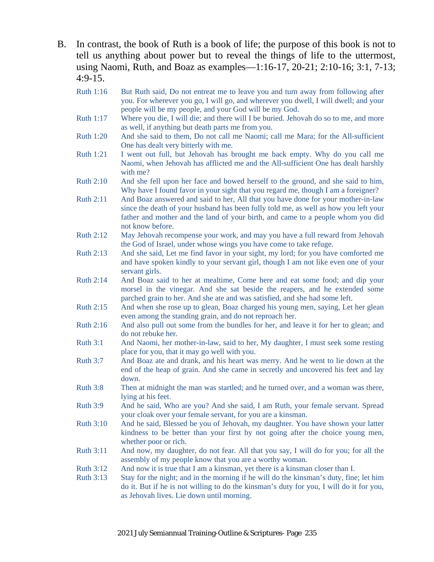- B. In contrast, the book of Ruth is a book of life; the purpose of this book is not to tell us anything about power but to reveal the things of life to the uttermost, using Naomi, Ruth, and Boaz as examples—1:16-17, 20-21; 2:10-16; 3:1, 7-13;  $4:9-15.$ 
	- Ruth 1:16 But Ruth said, Do not entreat me to leave you and turn away from following after you. For wherever you go, I will go, and wherever you dwell, I will dwell; and your people will be my people, and your God will be my God.
	- Ruth 1:17 Where you die, I will die; and there will I be buried. Jehovah do so to me, and more as well, if anything but death parts me from you.
	- Ruth 1:20 And she said to them, Do not call me Naomi; call me Mara; for the All-sufficient One has dealt very bitterly with me.
	- Ruth 1:21 I went out full, but Jehovah has brought me back empty. Why do you call me Naomi, when Jehovah has afflicted me and the All-sufficient One has dealt harshly with me?
	- Ruth 2:10 And she fell upon her face and bowed herself to the ground, and she said to him, Why have I found favor in your sight that you regard me, though I am a foreigner?
	- Ruth 2:11 And Boaz answered and said to her, All that you have done for your mother-in-law since the death of your husband has been fully told me, as well as how you left your father and mother and the land of your birth, and came to a people whom you did not know before.
	- Ruth 2:12 May Jehovah recompense your work, and may you have a full reward from Jehovah the God of Israel, under whose wings you have come to take refuge.
	- Ruth 2:13 And she said, Let me find favor in your sight, my lord; for you have comforted me and have spoken kindly to your servant girl, though I am not like even one of your servant girls.
	- Ruth 2:14 And Boaz said to her at mealtime, Come here and eat some food; and dip your morsel in the vinegar. And she sat beside the reapers, and he extended some parched grain to her. And she ate and was satisfied, and she had some left.
	- Ruth 2:15 And when she rose up to glean, Boaz charged his young men, saying, Let her glean even among the standing grain, and do not reproach her.
	- Ruth 2:16 And also pull out some from the bundles for her, and leave it for her to glean; and do not rebuke her.
	- Ruth 3:1 And Naomi, her mother-in-law, said to her, My daughter, I must seek some resting place for you, that it may go well with you.
	- Ruth 3:7 And Boaz ate and drank, and his heart was merry. And he went to lie down at the end of the heap of grain. And she came in secretly and uncovered his feet and lay down.
	- Ruth 3:8 Then at midnight the man was startled; and he turned over, and a woman was there, lying at his feet.
	- Ruth 3:9 And he said, Who are you? And she said, I am Ruth, your female servant. Spread your cloak over your female servant, for you are a kinsman.
	- Ruth 3:10 And he said, Blessed be you of Jehovah, my daughter. You have shown your latter kindness to be better than your first by not going after the choice young men, whether poor or rich.
	- Ruth 3:11 And now, my daughter, do not fear. All that you say, I will do for you; for all the assembly of my people know that you are a worthy woman.
	- Ruth 3:12 And now it is true that I am a kinsman, yet there is a kinsman closer than I.
	- Ruth 3:13 Stay for the night; and in the morning if he will do the kinsman's duty, fine; let him do it. But if he is not willing to do the kinsman's duty for you, I will do it for you, as Jehovah lives. Lie down until morning.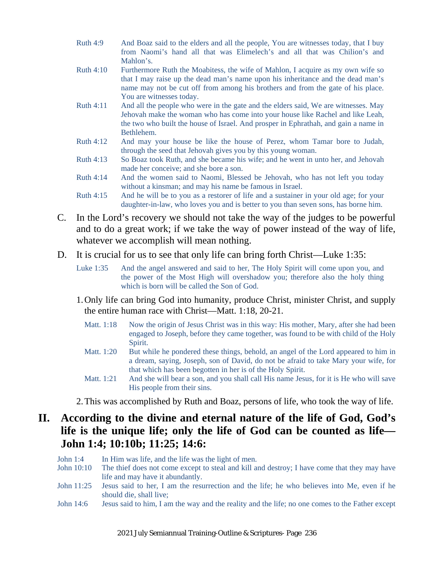- Ruth 4:9 And Boaz said to the elders and all the people, You are witnesses today, that I buy from Naomi's hand all that was Elimelech's and all that was Chilion's and Mahlon's.
- Ruth 4:10 Furthermore Ruth the Moabitess, the wife of Mahlon, I acquire as my own wife so that I may raise up the dead man's name upon his inheritance and the dead man's name may not be cut off from among his brothers and from the gate of his place. You are witnesses today.
- Ruth 4:11 And all the people who were in the gate and the elders said, We are witnesses. May Jehovah make the woman who has come into your house like Rachel and like Leah, the two who built the house of Israel. And prosper in Ephrathah, and gain a name in Bethlehem.
- Ruth 4:12 And may your house be like the house of Perez, whom Tamar bore to Judah, through the seed that Jehovah gives you by this young woman.
- Ruth 4:13 So Boaz took Ruth, and she became his wife; and he went in unto her, and Jehovah made her conceive; and she bore a son.
- Ruth 4:14 And the women said to Naomi, Blessed be Jehovah, who has not left you today without a kinsman; and may his name be famous in Israel.
- Ruth 4:15 And he will be to you as a restorer of life and a sustainer in your old age; for your daughter-in-law, who loves you and is better to you than seven sons, has borne him.
- C. In the Lord's recovery we should not take the way of the judges to be powerful and to do a great work; if we take the way of power instead of the way of life, whatever we accomplish will mean nothing.
- D. It is crucial for us to see that only life can bring forth Christ—Luke 1:35:
	- Luke 1:35 And the angel answered and said to her, The Holy Spirit will come upon you, and the power of the Most High will overshadow you; therefore also the holy thing which is born will be called the Son of God.
	- 1.Only life can bring God into humanity, produce Christ, minister Christ, and supply the entire human race with Christ—Matt. 1:18, 20-21.
		- Matt. 1:18 Now the origin of Jesus Christ was in this way: His mother, Mary, after she had been engaged to Joseph, before they came together, was found to be with child of the Holy Spirit.
		- Matt. 1:20 But while he pondered these things, behold, an angel of the Lord appeared to him in a dream, saying, Joseph, son of David, do not be afraid to take Mary your wife, for that which has been begotten in her is of the Holy Spirit.
		- Matt. 1:21 And she will bear a son, and you shall call His name Jesus, for it is He who will save His people from their sins.

2.This was accomplished by Ruth and Boaz, persons of life, who took the way of life.

### **II. According to the divine and eternal nature of the life of God, God's life is the unique life; only the life of God can be counted as life— John 1:4; 10:10b; 11:25; 14:6:**

- John 1:4 In Him was life, and the life was the light of men.
- John 10:10 The thief does not come except to steal and kill and destroy; I have come that they may have life and may have it abundantly.
- John 11:25 Jesus said to her, I am the resurrection and the life; he who believes into Me, even if he should die, shall live;
- John 14:6 Jesus said to him, I am the way and the reality and the life; no one comes to the Father except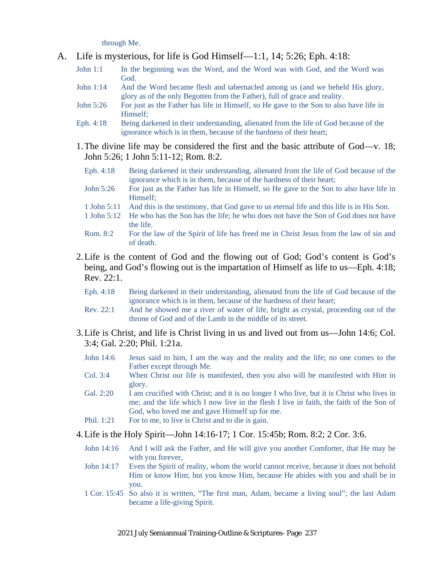through Me.

- A. Life is mysterious, for life is God Himself—1:1, 14; 5:26; Eph. 4:18:
	- John 1:1 In the beginning was the Word, and the Word was with God, and the Word was God.
	- John 1:14 And the Word became flesh and tabernacled among us (and we beheld His glory, glory as of the only Begotten from the Father), full of grace and reality.
	- John 5:26 For just as the Father has life in Himself, so He gave to the Son to also have life in Himself;
	- Eph. 4:18 Being darkened in their understanding, alienated from the life of God because of the ignorance which is in them, because of the hardness of their heart;
	- 1.The divine life may be considered the first and the basic attribute of God—v. 18; John 5:26; 1 John 5:11-12; Rom. 8:2.
		- Eph. 4:18 Being darkened in their understanding, alienated from the life of God because of the ignorance which is in them, because of the hardness of their heart;
		- John 5:26 For just as the Father has life in Himself, so He gave to the Son to also have life in Himself;
		- 1 John 5:11 And this is the testimony, that God gave to us eternal life and this life is in His Son.
		- 1 John 5:12 He who has the Son has the life; he who does not have the Son of God does not have the life.
		- Rom. 8:2 For the law of the Spirit of life has freed me in Christ Jesus from the law of sin and of death.
	- 2.Life is the content of God and the flowing out of God; God's content is God's being, and God's flowing out is the impartation of Himself as life to us—Eph. 4:18; Rev. 22:1.
		- Eph. 4:18 Being darkened in their understanding, alienated from the life of God because of the ignorance which is in them, because of the hardness of their heart;
		- Rev. 22:1 And he showed me a river of water of life, bright as crystal, proceeding out of the throne of God and of the Lamb in the middle of its street.
	- 3.Life is Christ, and life is Christ living in us and lived out from us—John 14:6; Col. 3:4; Gal. 2:20; Phil. 1:21a.
		- John 14:6 Jesus said to him, I am the way and the reality and the life; no one comes to the Father except through Me.
		- Col. 3:4 When Christ our life is manifested, then you also will be manifested with Him in glory.
		- Gal. 2:20 I am crucified with Christ; and it is no longer I who live, but it is Christ who lives in me; and the life which I now live in the flesh I live in faith, the faith of the Son of God, who loved me and gave Himself up for me.
		- Phil. 1:21 For to me, to live is Christ and to die is gain.
	- 4.Life is the Holy Spirit—John 14:16-17; 1 Cor. 15:45b; Rom. 8:2; 2 Cor. 3:6.
		- John 14:16 And I will ask the Father, and He will give you another Comforter, that He may be with you forever,
		- John 14:17 Even the Spirit of reality, whom the world cannot receive, because it does not behold Him or know Him; but you know Him, because He abides with you and shall be in you.
		- 1 Cor. 15:45 So also it is written, "The first man, Adam, became a living soul"; the last Adam became a life-giving Spirit.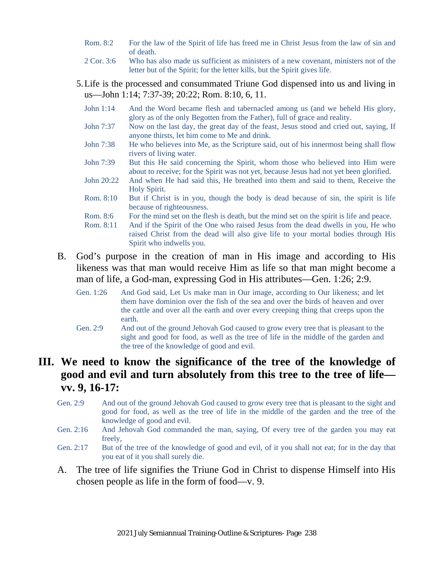- Rom. 8:2 For the law of the Spirit of life has freed me in Christ Jesus from the law of sin and of death.
- 2 Cor. 3:6 Who has also made us sufficient as ministers of a new covenant, ministers not of the letter but of the Spirit; for the letter kills, but the Spirit gives life.
- 5.Life is the processed and consummated Triune God dispensed into us and living in us—John 1:14; 7:37-39; 20:22; Rom. 8:10, 6, 11.
	- John 1:14 And the Word became flesh and tabernacled among us (and we beheld His glory, glory as of the only Begotten from the Father), full of grace and reality.
	- John 7:37 Now on the last day, the great day of the feast, Jesus stood and cried out, saying, If anyone thirsts, let him come to Me and drink.
	- John 7:38 He who believes into Me, as the Scripture said, out of his innermost being shall flow rivers of living water.
	- John 7:39 But this He said concerning the Spirit, whom those who believed into Him were about to receive; for the Spirit was not yet, because Jesus had not yet been glorified.
	- John 20:22 And when He had said this, He breathed into them and said to them, Receive the Holy Spirit.
	- Rom. 8:10 But if Christ is in you, though the body is dead because of sin, the spirit is life because of righteousness.
	- Rom. 8:6 For the mind set on the flesh is death, but the mind set on the spirit is life and peace.
	- Rom. 8:11 And if the Spirit of the One who raised Jesus from the dead dwells in you, He who raised Christ from the dead will also give life to your mortal bodies through His Spirit who indwells you.
- B. God's purpose in the creation of man in His image and according to His likeness was that man would receive Him as life so that man might become a man of life, a God-man, expressing God in His attributes—Gen. 1:26; 2:9.
	- Gen. 1:26 And God said, Let Us make man in Our image, according to Our likeness; and let them have dominion over the fish of the sea and over the birds of heaven and over the cattle and over all the earth and over every creeping thing that creeps upon the earth.
	- Gen. 2:9 And out of the ground Jehovah God caused to grow every tree that is pleasant to the sight and good for food, as well as the tree of life in the middle of the garden and the tree of the knowledge of good and evil.

#### **III. We need to know the significance of the tree of the knowledge of good and evil and turn absolutely from this tree to the tree of life vv. 9, 16-17:**

- Gen. 2:9 And out of the ground Jehovah God caused to grow every tree that is pleasant to the sight and good for food, as well as the tree of life in the middle of the garden and the tree of the knowledge of good and evil.
- Gen. 2:16 And Jehovah God commanded the man, saying, Of every tree of the garden you may eat freely,
- Gen. 2:17 But of the tree of the knowledge of good and evil, of it you shall not eat; for in the day that you eat of it you shall surely die.
- A. The tree of life signifies the Triune God in Christ to dispense Himself into His chosen people as life in the form of food—v. 9.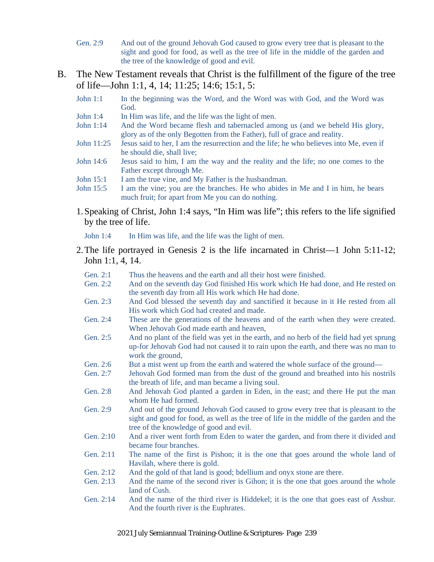- Gen. 2:9 And out of the ground Jehovah God caused to grow every tree that is pleasant to the sight and good for food, as well as the tree of life in the middle of the garden and the tree of the knowledge of good and evil.
- B. The New Testament reveals that Christ is the fulfillment of the figure of the tree of life—John 1:1, 4, 14; 11:25; 14:6; 15:1, 5:
	- John 1:1 In the beginning was the Word, and the Word was with God, and the Word was God.
	- John 1:4 In Him was life, and the life was the light of men.
	- John 1:14 And the Word became flesh and tabernacled among us (and we beheld His glory, glory as of the only Begotten from the Father), full of grace and reality.
	- John 11:25 Jesus said to her, I am the resurrection and the life; he who believes into Me, even if he should die, shall live;
	- John 14:6 Jesus said to him, I am the way and the reality and the life; no one comes to the Father except through Me.
	- John 15:1 I am the true vine, and My Father is the husbandman.
	- John 15:5 I am the vine; you are the branches. He who abides in Me and I in him, he bears much fruit; for apart from Me you can do nothing.
	- 1.Speaking of Christ, John 1:4 says, "In Him was life"; this refers to the life signified by the tree of life.

John 1:4 In Him was life, and the life was the light of men.

- 2.The life portrayed in Genesis 2 is the life incarnated in Christ—1 John 5:11-12; John 1:1, 4, 14.
	- Gen. 2:1 Thus the heavens and the earth and all their host were finished.
	- Gen. 2:2 And on the seventh day God finished His work which He had done, and He rested on the seventh day from all His work which He had done.
	- Gen. 2:3 And God blessed the seventh day and sanctified it because in it He rested from all His work which God had created and made.
	- Gen. 2:4 These are the generations of the heavens and of the earth when they were created. When Jehovah God made earth and heaven,
	- Gen. 2:5 And no plant of the field was yet in the earth, and no herb of the field had yet sprung up-for Jehovah God had not caused it to rain upon the earth, and there was no man to work the ground,
	- Gen. 2:6 But a mist went up from the earth and watered the whole surface of the ground—
	- Gen. 2:7 Jehovah God formed man from the dust of the ground and breathed into his nostrils the breath of life, and man became a living soul.
	- Gen. 2:8 And Jehovah God planted a garden in Eden, in the east; and there He put the man whom He had formed.
	- Gen. 2:9 And out of the ground Jehovah God caused to grow every tree that is pleasant to the sight and good for food, as well as the tree of life in the middle of the garden and the tree of the knowledge of good and evil.
	- Gen. 2:10 And a river went forth from Eden to water the garden, and from there it divided and became four branches.
	- Gen. 2:11 The name of the first is Pishon; it is the one that goes around the whole land of Havilah, where there is gold.
	- Gen. 2:12 And the gold of that land is good; bdellium and onyx stone are there.
	- Gen. 2:13 And the name of the second river is Gihon; it is the one that goes around the whole land of Cush.
	- Gen. 2:14 And the name of the third river is Hiddekel; it is the one that goes east of Asshur. And the fourth river is the Euphrates.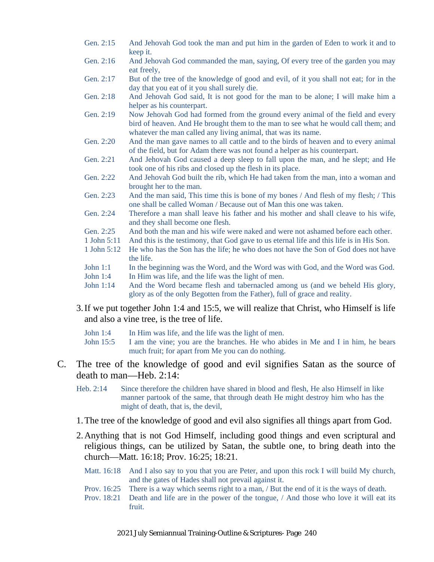- Gen. 2:15 And Jehovah God took the man and put him in the garden of Eden to work it and to keep it.
- Gen. 2:16 And Jehovah God commanded the man, saying, Of every tree of the garden you may eat freely,
- Gen. 2:17 But of the tree of the knowledge of good and evil, of it you shall not eat; for in the day that you eat of it you shall surely die.
- Gen. 2:18 And Jehovah God said, It is not good for the man to be alone; I will make him a helper as his counterpart.
- Gen. 2:19 Now Jehovah God had formed from the ground every animal of the field and every bird of heaven. And He brought them to the man to see what he would call them; and whatever the man called any living animal, that was its name.
- Gen. 2:20 And the man gave names to all cattle and to the birds of heaven and to every animal of the field, but for Adam there was not found a helper as his counterpart.
- Gen. 2:21 And Jehovah God caused a deep sleep to fall upon the man, and he slept; and He took one of his ribs and closed up the flesh in its place.
- Gen. 2:22 And Jehovah God built the rib, which He had taken from the man, into a woman and brought her to the man.
- Gen. 2:23 And the man said, This time this is bone of my bones / And flesh of my flesh; / This one shall be called Woman / Because out of Man this one was taken.
- Gen. 2:24 Therefore a man shall leave his father and his mother and shall cleave to his wife, and they shall become one flesh.
- Gen. 2:25 And both the man and his wife were naked and were not ashamed before each other.
- 1 John 5:11 And this is the testimony, that God gave to us eternal life and this life is in His Son.
- 1 John 5:12 He who has the Son has the life; he who does not have the Son of God does not have the life.
- John 1:1 In the beginning was the Word, and the Word was with God, and the Word was God.
- John 1:4 In Him was life, and the life was the light of men.
- John 1:14 And the Word became flesh and tabernacled among us (and we beheld His glory, glory as of the only Begotten from the Father), full of grace and reality.
- 3.If we put together John 1:4 and 15:5, we will realize that Christ, who Himself is life and also a vine tree, is the tree of life.
	- John 1:4 In Him was life, and the life was the light of men.
	- John 15:5 I am the vine; you are the branches. He who abides in Me and I in him, he bears much fruit; for apart from Me you can do nothing.
- C. The tree of the knowledge of good and evil signifies Satan as the source of death to man—Heb. 2:14:
	- Heb. 2:14 Since therefore the children have shared in blood and flesh, He also Himself in like manner partook of the same, that through death He might destroy him who has the might of death, that is, the devil,
	- 1.The tree of the knowledge of good and evil also signifies all things apart from God.
	- 2.Anything that is not God Himself, including good things and even scriptural and religious things, can be utilized by Satan, the subtle one, to bring death into the church—Matt. 16:18; Prov. 16:25; 18:21.
		- Matt. 16:18 And I also say to you that you are Peter, and upon this rock I will build My church, and the gates of Hades shall not prevail against it.
		- Prov. 16:25 There is a way which seems right to a man, / But the end of it is the ways of death.
		- Prov. 18:21 Death and life are in the power of the tongue, / And those who love it will eat its fruit.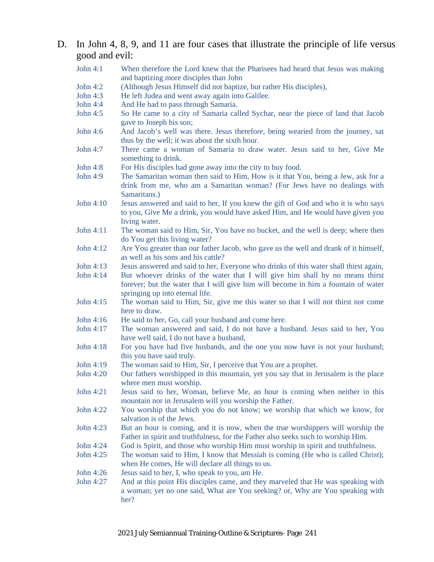#### D. In John 4, 8, 9, and 11 are four cases that illustrate the principle of life versus good and evil:

| John $4:1$      | When therefore the Lord knew that the Pharisees had heard that Jesus was making<br>and baptizing more disciples than John                                                                              |
|-----------------|--------------------------------------------------------------------------------------------------------------------------------------------------------------------------------------------------------|
| John 4:2        | (Although Jesus Himself did not baptize, but rather His disciples),                                                                                                                                    |
| John 4:3        | He left Judea and went away again into Galilee.                                                                                                                                                        |
| John 4:4        | And He had to pass through Samaria.                                                                                                                                                                    |
| John 4:5        | So He came to a city of Samaria called Sychar, near the piece of land that Jacob                                                                                                                       |
|                 | gave to Joseph his son;                                                                                                                                                                                |
| John 4:6        | And Jacob's well was there. Jesus therefore, being wearied from the journey, sat<br>thus by the well; it was about the sixth hour.                                                                     |
| John 4:7        | There came a woman of Samaria to draw water. Jesus said to her, Give Me<br>something to drink.                                                                                                         |
| <b>John 4:8</b> | For His disciples had gone away into the city to buy food.                                                                                                                                             |
| John 4:9        | The Samaritan woman then said to Him, How is it that You, being a Jew, ask for a                                                                                                                       |
|                 | drink from me, who am a Samaritan woman? (For Jews have no dealings with<br>Samaritans.)                                                                                                               |
| John 4:10       | Jesus answered and said to her, If you knew the gift of God and who it is who says                                                                                                                     |
|                 | to you, Give Me a drink, you would have asked Him, and He would have given you<br>living water.                                                                                                        |
| John 4:11       | The woman said to Him, Sir, You have no bucket, and the well is deep; where then<br>do You get this living water?                                                                                      |
| John 4:12       | Are You greater than our father Jacob, who gave us the well and drank of it himself,<br>as well as his sons and his cattle?                                                                            |
| John 4:13       | Jesus answered and said to her, Everyone who drinks of this water shall thirst again,                                                                                                                  |
| John 4:14       | But whoever drinks of the water that I will give him shall by no means thirst<br>forever; but the water that I will give him will become in him a fountain of water<br>springing up into eternal life. |
| John 4:15       | The woman said to Him, Sir, give me this water so that I will not thirst nor come<br>here to draw.                                                                                                     |
| John 4:16       | He said to her, Go, call your husband and come here.                                                                                                                                                   |
| John 4:17       | The woman answered and said, I do not have a husband. Jesus said to her, You<br>have well said, I do not have a husband,                                                                               |
| John 4:18       | For you have had five husbands, and the one you now have is not your husband;<br>this you have said truly.                                                                                             |
| John 4:19       | The woman said to Him, Sir, I perceive that You are a prophet.                                                                                                                                         |
| John 4:20       | Our fathers worshipped in this mountain, yet you say that in Jerusalem is the place<br>where men must worship.                                                                                         |
| John 4:21       | Jesus said to her, Woman, believe Me, an hour is coming when neither in this<br>mountain nor in Jerusalem will you worship the Father.                                                                 |
| John 4:22       | You worship that which you do not know; we worship that which we know, for<br>salvation is of the Jews.                                                                                                |
| John 4:23       | But an hour is coming, and it is now, when the true worshippers will worship the<br>Father in spirit and truthfulness, for the Father also seeks such to worship Him.                                  |
| John 4:24       | God is Spirit, and those who worship Him must worship in spirit and truthfulness.                                                                                                                      |
| John 4:25       | The woman said to Him, I know that Messiah is coming (He who is called Christ);<br>when He comes, He will declare all things to us.                                                                    |
| John 4:26       | Jesus said to her, I, who speak to you, am He.                                                                                                                                                         |
| John 4:27       | And at this point His disciples came, and they marveled that He was speaking with<br>a woman; yet no one said, What are You seeking? or, Why are You speaking with<br>her?                             |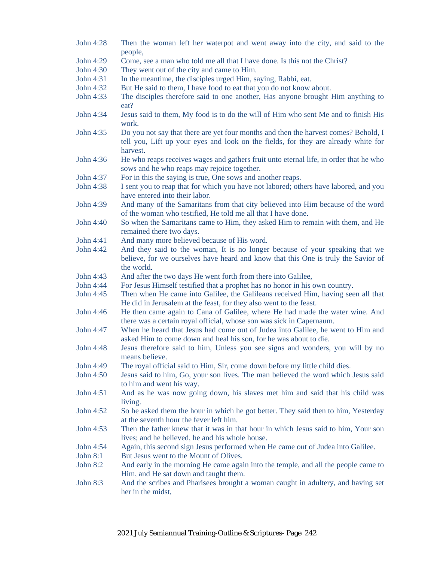John 4:28 Then the woman left her waterpot and went away into the city, and said to the people, John 4:29 Come, see a man who told me all that I have done. Is this not the Christ? John 4:30 They went out of the city and came to Him. John 4:31 In the meantime, the disciples urged Him, saying, Rabbi, eat. John 4:32 But He said to them, I have food to eat that you do not know about. John 4:33 The disciples therefore said to one another, Has anyone brought Him anything to eat? John 4:34 Jesus said to them, My food is to do the will of Him who sent Me and to finish His work. John 4:35 Do you not say that there are yet four months and then the harvest comes? Behold, I tell you, Lift up your eyes and look on the fields, for they are already white for harvest. John 4:36 He who reaps receives wages and gathers fruit unto eternal life, in order that he who sows and he who reaps may rejoice together. John 4:37 For in this the saying is true, One sows and another reaps. John 4:38 I sent you to reap that for which you have not labored; others have labored, and you have entered into their labor. John 4:39 And many of the Samaritans from that city believed into Him because of the word of the woman who testified, He told me all that I have done. John 4:40 So when the Samaritans came to Him, they asked Him to remain with them, and He remained there two days. John 4:41 And many more believed because of His word. John 4:42 And they said to the woman, It is no longer because of your speaking that we believe, for we ourselves have heard and know that this One is truly the Savior of the world. John 4:43 And after the two days He went forth from there into Galilee, John 4:44 For Jesus Himself testified that a prophet has no honor in his own country. John 4:45 Then when He came into Galilee, the Galileans received Him, having seen all that He did in Jerusalem at the feast, for they also went to the feast. John 4:46 He then came again to Cana of Galilee, where He had made the water wine. And there was a certain royal official, whose son was sick in Capernaum. John 4:47 When he heard that Jesus had come out of Judea into Galilee, he went to Him and asked Him to come down and heal his son, for he was about to die. John 4:48 Jesus therefore said to him, Unless you see signs and wonders, you will by no means believe. John 4:49 The royal official said to Him, Sir, come down before my little child dies. John 4:50 Jesus said to him, Go, your son lives. The man believed the word which Jesus said to him and went his way. John 4:51 And as he was now going down, his slaves met him and said that his child was living. John 4:52 So he asked them the hour in which he got better. They said then to him, Yesterday at the seventh hour the fever left him. John 4:53 Then the father knew that it was in that hour in which Jesus said to him, Your son lives; and he believed, he and his whole house. John 4:54 Again, this second sign Jesus performed when He came out of Judea into Galilee. John 8:1 But Jesus went to the Mount of Olives. John 8:2 And early in the morning He came again into the temple, and all the people came to Him, and He sat down and taught them. John 8:3 And the scribes and Pharisees brought a woman caught in adultery, and having set her in the midst,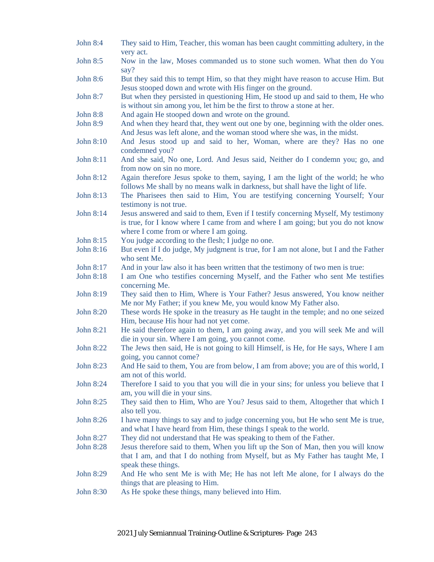| <b>John 8:4</b>  | They said to Him, Teacher, this woman has been caught committing adultery, in the<br>very act.                                                                                                                  |
|------------------|-----------------------------------------------------------------------------------------------------------------------------------------------------------------------------------------------------------------|
| <b>John 8:5</b>  | Now in the law, Moses commanded us to stone such women. What then do You<br>say?                                                                                                                                |
| <b>John 8:6</b>  | But they said this to tempt Him, so that they might have reason to accuse Him. But<br>Jesus stooped down and wrote with His finger on the ground.                                                               |
| John 8:7         | But when they persisted in questioning Him, He stood up and said to them, He who<br>is without sin among you, let him be the first to throw a stone at her.                                                     |
| John 8:8         | And again He stooped down and wrote on the ground.                                                                                                                                                              |
| <b>John 8:9</b>  | And when they heard that, they went out one by one, beginning with the older ones.<br>And Jesus was left alone, and the woman stood where she was, in the midst.                                                |
| John 8:10        | And Jesus stood up and said to her, Woman, where are they? Has no one<br>condemned you?                                                                                                                         |
| John 8:11        | And she said, No one, Lord. And Jesus said, Neither do I condemn you; go, and<br>from now on sin no more.                                                                                                       |
| John 8:12        | Again therefore Jesus spoke to them, saying, I am the light of the world; he who<br>follows Me shall by no means walk in darkness, but shall have the light of life.                                            |
| John 8:13        | The Pharisees then said to Him, You are testifying concerning Yourself; Your<br>testimony is not true.                                                                                                          |
| John 8:14        | Jesus answered and said to them, Even if I testify concerning Myself, My testimony<br>is true, for I know where I came from and where I am going; but you do not know<br>where I come from or where I am going. |
| John 8:15        | You judge according to the flesh; I judge no one.                                                                                                                                                               |
| John 8:16        | But even if I do judge, My judgment is true, for I am not alone, but I and the Father<br>who sent Me.                                                                                                           |
| John 8:17        | And in your law also it has been written that the testimony of two men is true:                                                                                                                                 |
| John 8:18        | I am One who testifies concerning Myself, and the Father who sent Me testifies<br>concerning Me.                                                                                                                |
| John 8:19        | They said then to Him, Where is Your Father? Jesus answered, You know neither<br>Me nor My Father; if you knew Me, you would know My Father also.                                                               |
| John 8:20        | These words He spoke in the treasury as He taught in the temple; and no one seized<br>Him, because His hour had not yet come.                                                                                   |
| <b>John 8:21</b> | He said therefore again to them, I am going away, and you will seek Me and will<br>die in your sin. Where I am going, you cannot come.                                                                          |
| John 8:22        | The Jews then said, He is not going to kill Himself, is He, for He says, Where I am<br>going, you cannot come?                                                                                                  |
| John 8:23        | And He said to them, You are from below, I am from above; you are of this world, I<br>am not of this world.                                                                                                     |
| John 8:24        | Therefore I said to you that you will die in your sins; for unless you believe that I<br>am, you will die in your sins.                                                                                         |
| John 8:25        | They said then to Him, Who are You? Jesus said to them, Altogether that which I<br>also tell you.                                                                                                               |
| John 8:26        | I have many things to say and to judge concerning you, but He who sent Me is true,<br>and what I have heard from Him, these things I speak to the world.                                                        |
| John 8:27        | They did not understand that He was speaking to them of the Father.                                                                                                                                             |
| John 8:28        | Jesus therefore said to them, When you lift up the Son of Man, then you will know<br>that I am, and that I do nothing from Myself, but as My Father has taught Me, I<br>speak these things.                     |
| John 8:29        | And He who sent Me is with Me; He has not left Me alone, for I always do the<br>things that are pleasing to Him.                                                                                                |
| John 8:30        | As He spoke these things, many believed into Him.                                                                                                                                                               |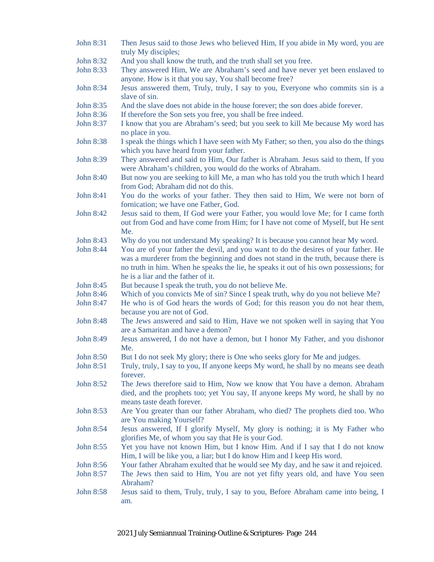| John 8:31        | Then Jesus said to those Jews who believed Him, If you abide in My word, you are<br>truly My disciples;                                                                                                            |
|------------------|--------------------------------------------------------------------------------------------------------------------------------------------------------------------------------------------------------------------|
| John 8:32        | And you shall know the truth, and the truth shall set you free.                                                                                                                                                    |
| John 8:33        | They answered Him, We are Abraham's seed and have never yet been enslaved to                                                                                                                                       |
|                  | anyone. How is it that you say, You shall become free?                                                                                                                                                             |
| John 8:34        | Jesus answered them, Truly, truly, I say to you, Everyone who commits sin is a                                                                                                                                     |
|                  | slave of sin.                                                                                                                                                                                                      |
| John 8:35        | And the slave does not abide in the house forever; the son does abide forever.                                                                                                                                     |
| John 8:36        | If therefore the Son sets you free, you shall be free indeed.                                                                                                                                                      |
| John 8:37        | I know that you are Abraham's seed; but you seek to kill Me because My word has<br>no place in you.                                                                                                                |
| John 8:38        | I speak the things which I have seen with My Father; so then, you also do the things<br>which you have heard from your father.                                                                                     |
| John 8:39        | They answered and said to Him, Our father is Abraham. Jesus said to them, If you<br>were Abraham's children, you would do the works of Abraham.                                                                    |
| John 8:40        | But now you are seeking to kill Me, a man who has told you the truth which I heard<br>from God; Abraham did not do this.                                                                                           |
| John 8:41        | You do the works of your father. They then said to Him, We were not born of<br>fornication; we have one Father, God.                                                                                               |
| John 8:42        | Jesus said to them, If God were your Father, you would love Me; for I came forth                                                                                                                                   |
|                  | out from God and have come from Him; for I have not come of Myself, but He sent<br>Me.                                                                                                                             |
| John 8:43        | Why do you not understand My speaking? It is because you cannot hear My word.                                                                                                                                      |
| John 8:44        | You are of your father the devil, and you want to do the desires of your father. He                                                                                                                                |
|                  | was a murderer from the beginning and does not stand in the truth, because there is<br>no truth in him. When he speaks the lie, he speaks it out of his own possessions; for<br>he is a liar and the father of it. |
| John 8:45        | But because I speak the truth, you do not believe Me.                                                                                                                                                              |
| John 8:46        | Which of you convicts Me of sin? Since I speak truth, why do you not believe Me?                                                                                                                                   |
| John 8:47        | He who is of God hears the words of God; for this reason you do not hear them,<br>because you are not of God.                                                                                                      |
| <b>John 8:48</b> | The Jews answered and said to Him, Have we not spoken well in saying that You<br>are a Samaritan and have a demon?                                                                                                 |
| John 8:49        | Jesus answered, I do not have a demon, but I honor My Father, and you dishonor<br>Me.                                                                                                                              |
| John 8:50        | But I do not seek My glory; there is One who seeks glory for Me and judges.                                                                                                                                        |
| John 8:51        | Truly, truly, I say to you, If anyone keeps My word, he shall by no means see death<br>forever.                                                                                                                    |
| John 8:52        | The Jews therefore said to Him, Now we know that You have a demon. Abraham<br>died, and the prophets too; yet You say, If anyone keeps My word, he shall by no<br>means taste death forever.                       |
| John 8:53        | Are You greater than our father Abraham, who died? The prophets died too. Who<br>are You making Yourself?                                                                                                          |
| John 8:54        | Jesus answered, If I glorify Myself, My glory is nothing; it is My Father who<br>glorifies Me, of whom you say that He is your God.                                                                                |
| John 8:55        | Yet you have not known Him, but I know Him. And if I say that I do not know<br>Him, I will be like you, a liar; but I do know Him and I keep His word.                                                             |
| John 8:56        | Your father Abraham exulted that he would see My day, and he saw it and rejoiced.                                                                                                                                  |
| John 8:57        | The Jews then said to Him, You are not yet fifty years old, and have You seen<br>Abraham?                                                                                                                          |
| John 8:58        | Jesus said to them, Truly, truly, I say to you, Before Abraham came into being, I<br>am.                                                                                                                           |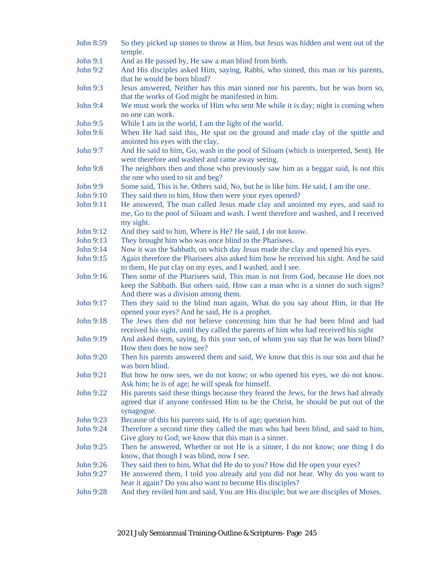John 8:59 So they picked up stones to throw at Him, but Jesus was hidden and went out of the temple. John 9:1 And as He passed by, He saw a man blind from birth. John 9:2 And His disciples asked Him, saying, Rabbi, who sinned, this man or his parents, that he would be born blind? John 9:3 Jesus answered, Neither has this man sinned nor his parents, but he was born so, that the works of God might be manifested in him. John 9:4 We must work the works of Him who sent Me while it is day; night is coming when no one can work. John 9:5 While I am in the world, I am the light of the world. John 9:6 When He had said this, He spat on the ground and made clay of the spittle and anointed his eyes with the clay, John 9:7 And He said to him, Go, wash in the pool of Siloam (which is interpreted, Sent). He went therefore and washed and came away seeing. John 9:8 The neighbors then and those who previously saw him as a beggar said, Is not this the one who used to sit and beg? John 9:9 Some said, This is he. Others said, No, but he is like him. He said, I am the one. John 9:10 They said then to him, How then were your eyes opened? John 9:11 He answered, The man called Jesus made clay and anointed my eyes, and said to me, Go to the pool of Siloam and wash. I went therefore and washed, and I received my sight. John 9:12 And they said to him, Where is He? He said, I do not know. John 9:13 They brought him who was once blind to the Pharisees. John 9:14 Now it was the Sabbath, on which day Jesus made the clay and opened his eyes. John 9:15 Again therefore the Pharisees also asked him how he received his sight. And he said to them, He put clay on my eyes, and I washed, and I see. John 9:16 Then some of the Pharisees said, This man is not from God, because He does not keep the Sabbath. But others said, How can a man who is a sinner do such signs? And there was a division among them. John 9:17 Then they said to the blind man again, What do you say about Him, in that He opened your eyes? And he said, He is a prophet. John 9:18 The Jews then did not believe concerning him that he had been blind and had received his sight, until they called the parents of him who had received his sight John 9:19 And asked them, saying, Is this your son, of whom you say that he was born blind? How then does he now see? John 9:20 Then his parents answered them and said, We know that this is our son and that he was born blind. John 9:21 But how he now sees, we do not know; or who opened his eyes, we do not know. Ask him; he is of age; he will speak for himself. John 9:22 His parents said these things because they feared the Jews, for the Jews had already agreed that if anyone confessed Him to be the Christ, he should be put out of the synagogue. John 9:23 Because of this his parents said, He is of age; question him. John 9:24 Therefore a second time they called the man who had been blind, and said to him, Give glory to God; we know that this man is a sinner. John 9:25 Then he answered, Whether or not He is a sinner, I do not know; one thing I do know, that though I was blind, now I see. John 9:26 They said then to him, What did He do to you? How did He open your eyes? John 9:27 He answered them, I told you already and you did not hear. Why do you want to hear it again? Do you also want to become His disciples? John 9:28 And they reviled him and said, You are His disciple; but we are disciples of Moses.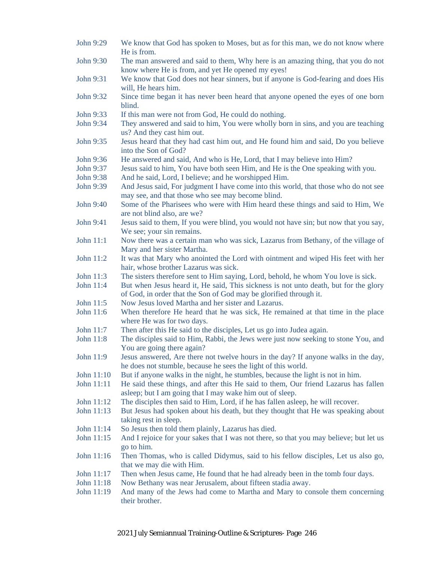John 9:29 We know that God has spoken to Moses, but as for this man, we do not know where He is from. John 9:30 The man answered and said to them, Why here is an amazing thing, that you do not know where He is from, and yet He opened my eyes! John 9:31 We know that God does not hear sinners, but if anyone is God-fearing and does His will, He hears him. John 9:32 Since time began it has never been heard that anyone opened the eyes of one born blind. John 9:33 If this man were not from God, He could do nothing. John 9:34 They answered and said to him, You were wholly born in sins, and you are teaching us? And they cast him out. John 9:35 Jesus heard that they had cast him out, and He found him and said, Do you believe into the Son of God? John 9:36 He answered and said, And who is He, Lord, that I may believe into Him? John 9:37 Jesus said to him, You have both seen Him, and He is the One speaking with you. John 9:38 And he said, Lord, I believe; and he worshipped Him. John 9:39 And Jesus said, For judgment I have come into this world, that those who do not see may see, and that those who see may become blind. John 9:40 Some of the Pharisees who were with Him heard these things and said to Him, We are not blind also, are we? John 9:41 Jesus said to them, If you were blind, you would not have sin; but now that you say, We see; your sin remains. John 11:1 Now there was a certain man who was sick, Lazarus from Bethany, of the village of Mary and her sister Martha. John 11:2 It was that Mary who anointed the Lord with ointment and wiped His feet with her hair, whose brother Lazarus was sick. John 11:3 The sisters therefore sent to Him saying, Lord, behold, he whom You love is sick. John 11:4 But when Jesus heard it, He said, This sickness is not unto death, but for the glory of God, in order that the Son of God may be glorified through it. John 11:5 Now Jesus loved Martha and her sister and Lazarus. John 11:6 When therefore He heard that he was sick, He remained at that time in the place where He was for two days. John 11:7 Then after this He said to the disciples, Let us go into Judea again. John 11:8 The disciples said to Him, Rabbi, the Jews were just now seeking to stone You, and You are going there again? John 11:9 Jesus answered, Are there not twelve hours in the day? If anyone walks in the day, he does not stumble, because he sees the light of this world. John 11:10 But if anyone walks in the night, he stumbles, because the light is not in him. John 11:11 He said these things, and after this He said to them, Our friend Lazarus has fallen asleep; but I am going that I may wake him out of sleep. John 11:12 The disciples then said to Him, Lord, if he has fallen asleep, he will recover. John 11:13 But Jesus had spoken about his death, but they thought that He was speaking about taking rest in sleep. John 11:14 So Jesus then told them plainly, Lazarus has died. John 11:15 And I rejoice for your sakes that I was not there, so that you may believe; but let us go to him. John 11:16 Then Thomas, who is called Didymus, said to his fellow disciples, Let us also go, that we may die with Him. John 11:17 Then when Jesus came, He found that he had already been in the tomb four days. John 11:18 Now Bethany was near Jerusalem, about fifteen stadia away. John 11:19 And many of the Jews had come to Martha and Mary to console them concerning their brother.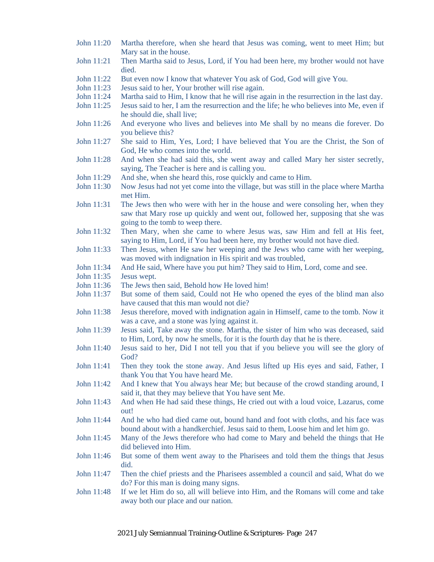- John 11:20 Martha therefore, when she heard that Jesus was coming, went to meet Him; but Mary sat in the house.
- John 11:21 Then Martha said to Jesus, Lord, if You had been here, my brother would not have died.
- John 11:22 But even now I know that whatever You ask of God, God will give You.
- John 11:23 Jesus said to her, Your brother will rise again.
- John 11:24 Martha said to Him, I know that he will rise again in the resurrection in the last day.
- John 11:25 Jesus said to her, I am the resurrection and the life; he who believes into Me, even if he should die, shall live;
- John 11:26 And everyone who lives and believes into Me shall by no means die forever. Do you believe this?
- John 11:27 She said to Him, Yes, Lord; I have believed that You are the Christ, the Son of God, He who comes into the world.
- John 11:28 And when she had said this, she went away and called Mary her sister secretly, saying, The Teacher is here and is calling you.
- John 11:29 And she, when she heard this, rose quickly and came to Him.
- John 11:30 Now Jesus had not yet come into the village, but was still in the place where Martha met Him.
- John 11:31 The Jews then who were with her in the house and were consoling her, when they saw that Mary rose up quickly and went out, followed her, supposing that she was going to the tomb to weep there.
- John 11:32 Then Mary, when she came to where Jesus was, saw Him and fell at His feet, saying to Him, Lord, if You had been here, my brother would not have died.
- John 11:33 Then Jesus, when He saw her weeping and the Jews who came with her weeping, was moved with indignation in His spirit and was troubled,
- John 11:34 And He said, Where have you put him? They said to Him, Lord, come and see.
- John 11:35 Jesus wept.
- John 11:36 The Jews then said, Behold how He loved him!
- John 11:37 But some of them said, Could not He who opened the eyes of the blind man also have caused that this man would not die?
- John 11:38 Jesus therefore, moved with indignation again in Himself, came to the tomb. Now it was a cave, and a stone was lying against it.
- John 11:39 Jesus said, Take away the stone. Martha, the sister of him who was deceased, said to Him, Lord, by now he smells, for it is the fourth day that he is there.
- John 11:40 Jesus said to her, Did I not tell you that if you believe you will see the glory of God?
- John 11:41 Then they took the stone away. And Jesus lifted up His eyes and said, Father, I thank You that You have heard Me.
- John 11:42 And I knew that You always hear Me; but because of the crowd standing around, I said it, that they may believe that You have sent Me.
- John 11:43 And when He had said these things, He cried out with a loud voice, Lazarus, come out!
- John 11:44 And he who had died came out, bound hand and foot with cloths, and his face was bound about with a handkerchief. Jesus said to them, Loose him and let him go.
- John 11:45 Many of the Jews therefore who had come to Mary and beheld the things that He did believed into Him.
- John 11:46 But some of them went away to the Pharisees and told them the things that Jesus did.
- John 11:47 Then the chief priests and the Pharisees assembled a council and said, What do we do? For this man is doing many signs.
- John 11:48 If we let Him do so, all will believe into Him, and the Romans will come and take away both our place and our nation.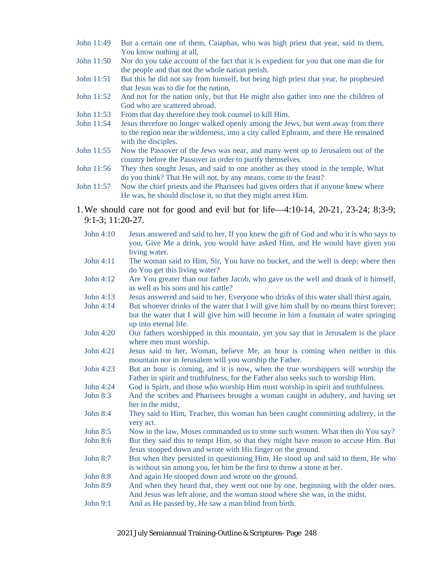- John 11:49 But a certain one of them, Caiaphas, who was high priest that year, said to them, You know nothing at all,
- John 11:50 Nor do you take account of the fact that it is expedient for you that one man die for the people and that not the whole nation perish.
- John 11:51 But this he did not say from himself, but being high priest that year, he prophesied that Jesus was to die for the nation,
- John 11:52 And not for the nation only, but that He might also gather into one the children of God who are scattered abroad.
- John 11:53 From that day therefore they took counsel to kill Him.
- John 11:54 Jesus therefore no longer walked openly among the Jews, but went away from there to the region near the wilderness, into a city called Ephraim, and there He remained with the disciples.
- John 11:55 Now the Passover of the Jews was near, and many went up to Jerusalem out of the country before the Passover in order to purify themselves.
- John 11:56 They then sought Jesus, and said to one another as they stood in the temple, What do you think? That He will not, by any means, come to the feast?
- John 11:57 Now the chief priests and the Pharisees had given orders that if anyone knew where He was, he should disclose it, so that they might arrest Him.
- 1.We should care not for good and evil but for life—4:10-14, 20-21, 23-24; 8:3-9; 9:1-3; 11:20-27.
	- John 4:10 Jesus answered and said to her, If you knew the gift of God and who it is who says to you, Give Me a drink, you would have asked Him, and He would have given you living water.
	- John 4:11 The woman said to Him, Sir, You have no bucket, and the well is deep; where then do You get this living water?
	- John 4:12 Are You greater than our father Jacob, who gave us the well and drank of it himself, as well as his sons and his cattle?
	- John 4:13 Jesus answered and said to her, Everyone who drinks of this water shall thirst again,
	- John 4:14 But whoever drinks of the water that I will give him shall by no means thirst forever; but the water that I will give him will become in him a fountain of water springing up into eternal life.
	- John 4:20 Our fathers worshipped in this mountain, yet you say that in Jerusalem is the place where men must worship.
	- John 4:21 Jesus said to her, Woman, believe Me, an hour is coming when neither in this mountain nor in Jerusalem will you worship the Father.
	- John 4:23 But an hour is coming, and it is now, when the true worshippers will worship the Father in spirit and truthfulness, for the Father also seeks such to worship Him.
	- John 4:24 God is Spirit, and those who worship Him must worship in spirit and truthfulness.
	- John 8:3 And the scribes and Pharisees brought a woman caught in adultery, and having set her in the midst,
	- John 8:4 They said to Him, Teacher, this woman has been caught committing adultery, in the very act.
	- John 8:5 Now in the law, Moses commanded us to stone such women. What then do You say?
	- John 8:6 But they said this to tempt Him, so that they might have reason to accuse Him. But Jesus stooped down and wrote with His finger on the ground.
	- John 8:7 But when they persisted in questioning Him, He stood up and said to them, He who is without sin among you, let him be the first to throw a stone at her.
	- John 8:8 And again He stooped down and wrote on the ground.
	- John 8:9 And when they heard that, they went out one by one, beginning with the older ones. And Jesus was left alone, and the woman stood where she was, in the midst.
	- John 9:1 And as He passed by, He saw a man blind from birth.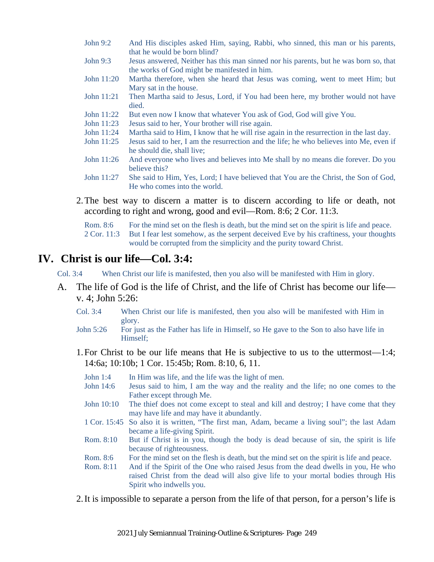- John 9:2 And His disciples asked Him, saying, Rabbi, who sinned, this man or his parents, that he would be born blind?
- John 9:3 Jesus answered, Neither has this man sinned nor his parents, but he was born so, that the works of God might be manifested in him.
- John 11:20 Martha therefore, when she heard that Jesus was coming, went to meet Him; but Mary sat in the house.
- John 11:21 Then Martha said to Jesus, Lord, if You had been here, my brother would not have died.
- John 11:22 But even now I know that whatever You ask of God, God will give You.
- John 11:23 Jesus said to her, Your brother will rise again.
- John 11:24 Martha said to Him, I know that he will rise again in the resurrection in the last day.
- John 11:25 Jesus said to her, I am the resurrection and the life; he who believes into Me, even if he should die, shall live;
- John 11:26 And everyone who lives and believes into Me shall by no means die forever. Do you believe this?
- John 11:27 She said to Him, Yes, Lord; I have believed that You are the Christ, the Son of God, He who comes into the world.
- 2.The best way to discern a matter is to discern according to life or death, not according to right and wrong, good and evil—Rom. 8:6; 2 Cor. 11:3.

Rom. 8:6 For the mind set on the flesh is death, but the mind set on the spirit is life and peace.

2 Cor. 11:3 But I fear lest somehow, as the serpent deceived Eve by his craftiness, your thoughts would be corrupted from the simplicity and the purity toward Christ.

#### **IV. Christ is our life—Col. 3:4:**

- Col. 3:4 When Christ our life is manifested, then you also will be manifested with Him in glory.
- A. The life of God is the life of Christ, and the life of Christ has become our life v. 4; John 5:26:
	- Col. 3:4 When Christ our life is manifested, then you also will be manifested with Him in glory.
	- John 5:26 For just as the Father has life in Himself, so He gave to the Son to also have life in Himself;
	- 1.For Christ to be our life means that He is subjective to us to the uttermost—1:4; 14:6a; 10:10b; 1 Cor. 15:45b; Rom. 8:10, 6, 11.
		- John 1:4 In Him was life, and the life was the light of men.
		- John 14:6 Jesus said to him, I am the way and the reality and the life; no one comes to the Father except through Me.
		- John 10:10 The thief does not come except to steal and kill and destroy; I have come that they may have life and may have it abundantly.
		- 1 Cor. 15:45 So also it is written, "The first man, Adam, became a living soul"; the last Adam became a life-giving Spirit.
		- Rom. 8:10 But if Christ is in you, though the body is dead because of sin, the spirit is life because of righteousness.
		- Rom. 8:6 For the mind set on the flesh is death, but the mind set on the spirit is life and peace.
		- Rom. 8:11 And if the Spirit of the One who raised Jesus from the dead dwells in you, He who raised Christ from the dead will also give life to your mortal bodies through His Spirit who indwells you.

2.It is impossible to separate a person from the life of that person, for a person's life is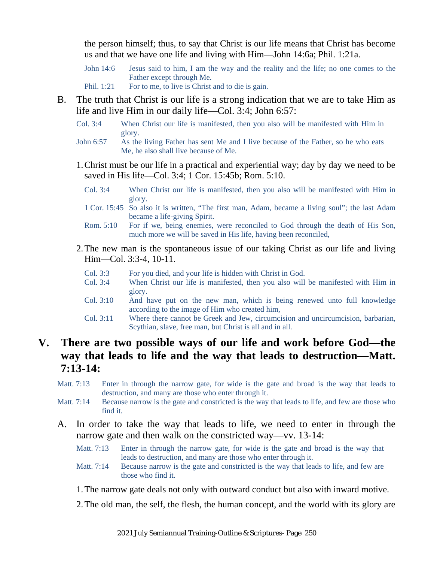the person himself; thus, to say that Christ is our life means that Christ has become us and that we have one life and living with Him—John 14:6a; Phil. 1:21a.

- John 14:6 Jesus said to him, I am the way and the reality and the life; no one comes to the Father except through Me.
- Phil. 1:21 For to me, to live is Christ and to die is gain.
- B. The truth that Christ is our life is a strong indication that we are to take Him as life and live Him in our daily life—Col. 3:4; John 6:57:
	- Col. 3:4 When Christ our life is manifested, then you also will be manifested with Him in glory.
	- John 6:57 As the living Father has sent Me and I live because of the Father, so he who eats Me, he also shall live because of Me.
	- 1.Christ must be our life in a practical and experiential way; day by day we need to be saved in His life—Col. 3:4; 1 Cor. 15:45b; Rom. 5:10.
		- Col. 3:4 When Christ our life is manifested, then you also will be manifested with Him in glory.
		- 1 Cor. 15:45 So also it is written, "The first man, Adam, became a living soul"; the last Adam became a life-giving Spirit.
		- Rom. 5:10 For if we, being enemies, were reconciled to God through the death of His Son, much more we will be saved in His life, having been reconciled,
	- 2.The new man is the spontaneous issue of our taking Christ as our life and living Him—Col. 3:3-4, 10-11.
		- Col. 3:3 For you died, and your life is hidden with Christ in God.
		- Col. 3:4 When Christ our life is manifested, then you also will be manifested with Him in glory.
		- Col. 3:10 And have put on the new man, which is being renewed unto full knowledge according to the image of Him who created him,
		- Col. 3:11 Where there cannot be Greek and Jew, circumcision and uncircumcision, barbarian, Scythian, slave, free man, but Christ is all and in all.

#### **V. There are two possible ways of our life and work before God—the way that leads to life and the way that leads to destruction—Matt. 7:13-14:**

- Matt. 7:13 Enter in through the narrow gate, for wide is the gate and broad is the way that leads to destruction, and many are those who enter through it.
- Matt. 7:14 Because narrow is the gate and constricted is the way that leads to life, and few are those who find it.
- A. In order to take the way that leads to life, we need to enter in through the narrow gate and then walk on the constricted way—vv. 13-14:
	- Matt. 7:13 Enter in through the narrow gate, for wide is the gate and broad is the way that leads to destruction, and many are those who enter through it.
	- Matt. 7:14 Because narrow is the gate and constricted is the way that leads to life, and few are those who find it.
	- 1.The narrow gate deals not only with outward conduct but also with inward motive.
	- 2.The old man, the self, the flesh, the human concept, and the world with its glory are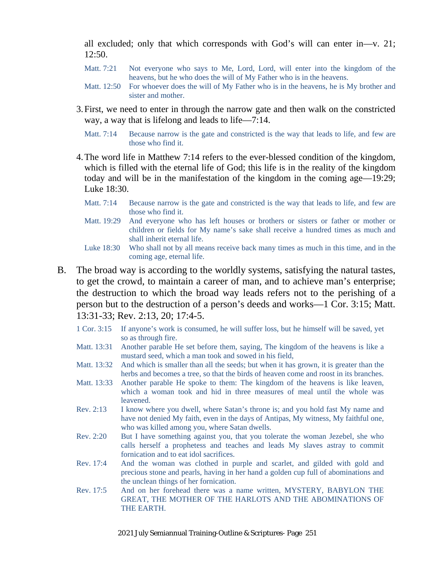all excluded; only that which corresponds with God's will can enter in—v. 21; 12:50.

- Matt. 7:21 Not everyone who says to Me, Lord, Lord, will enter into the kingdom of the heavens, but he who does the will of My Father who is in the heavens.
- Matt. 12:50 For whoever does the will of My Father who is in the heavens, he is My brother and sister and mother.
- 3.First, we need to enter in through the narrow gate and then walk on the constricted way, a way that is lifelong and leads to life—7:14.
	- Matt. 7:14 Because narrow is the gate and constricted is the way that leads to life, and few are those who find it.
- 4.The word life in Matthew 7:14 refers to the ever-blessed condition of the kingdom, which is filled with the eternal life of God; this life is in the reality of the kingdom today and will be in the manifestation of the kingdom in the coming age—19:29; Luke 18:30.
	- Matt. 7:14 Because narrow is the gate and constricted is the way that leads to life, and few are those who find it.
	- Matt. 19:29 And everyone who has left houses or brothers or sisters or father or mother or children or fields for My name's sake shall receive a hundred times as much and shall inherit eternal life.

- B. The broad way is according to the worldly systems, satisfying the natural tastes, to get the crowd, to maintain a career of man, and to achieve man's enterprise; the destruction to which the broad way leads refers not to the perishing of a person but to the destruction of a person's deeds and works—1 Cor. 3:15; Matt. 13:31-33; Rev. 2:13, 20; 17:4-5.
	- 1 Cor. 3:15 If anyone's work is consumed, he will suffer loss, but he himself will be saved, yet so as through fire.
	- Matt. 13:31 Another parable He set before them, saying, The kingdom of the heavens is like a mustard seed, which a man took and sowed in his field,
	- Matt. 13:32 And which is smaller than all the seeds; but when it has grown, it is greater than the herbs and becomes a tree, so that the birds of heaven come and roost in its branches.
	- Matt. 13:33 Another parable He spoke to them: The kingdom of the heavens is like leaven, which a woman took and hid in three measures of meal until the whole was leavened.
	- Rev. 2:13 I know where you dwell, where Satan's throne is; and you hold fast My name and have not denied My faith, even in the days of Antipas, My witness, My faithful one, who was killed among you, where Satan dwells.
	- Rev. 2:20 But I have something against you, that you tolerate the woman Jezebel, she who calls herself a prophetess and teaches and leads My slaves astray to commit fornication and to eat idol sacrifices.
	- Rev. 17:4 And the woman was clothed in purple and scarlet, and gilded with gold and precious stone and pearls, having in her hand a golden cup full of abominations and the unclean things of her fornication.
	- Rev. 17:5 And on her forehead there was a name written, MYSTERY, BABYLON THE GREAT, THE MOTHER OF THE HARLOTS AND THE ABOMINATIONS OF THE EARTH.

Luke 18:30 Who shall not by all means receive back many times as much in this time, and in the coming age, eternal life.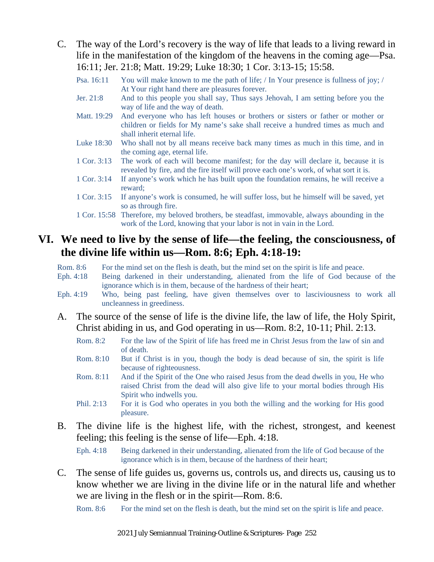- C. The way of the Lord's recovery is the way of life that leads to a living reward in life in the manifestation of the kingdom of the heavens in the coming age—Psa. 16:11; Jer. 21:8; Matt. 19:29; Luke 18:30; 1 Cor. 3:13-15; 15:58.
	- Psa. 16:11 You will make known to me the path of life; / In Your presence is fullness of joy; / At Your right hand there are pleasures forever.
	- Jer. 21:8 And to this people you shall say, Thus says Jehovah, I am setting before you the way of life and the way of death.
	- Matt. 19:29 And everyone who has left houses or brothers or sisters or father or mother or children or fields for My name's sake shall receive a hundred times as much and shall inherit eternal life.
	- Luke 18:30 Who shall not by all means receive back many times as much in this time, and in the coming age, eternal life.
	- 1 Cor. 3:13 The work of each will become manifest; for the day will declare it, because it is revealed by fire, and the fire itself will prove each one's work, of what sort it is.
	- 1 Cor. 3:14 If anyone's work which he has built upon the foundation remains, he will receive a reward;
	- 1 Cor. 3:15 If anyone's work is consumed, he will suffer loss, but he himself will be saved, yet so as through fire.
	- 1 Cor. 15:58 Therefore, my beloved brothers, be steadfast, immovable, always abounding in the work of the Lord, knowing that your labor is not in vain in the Lord.

#### **VI. We need to live by the sense of life—the feeling, the consciousness, of the divine life within us—Rom. 8:6; Eph. 4:18-19:**

- Rom. 8:6 For the mind set on the flesh is death, but the mind set on the spirit is life and peace.
- Eph. 4:18 Being darkened in their understanding, alienated from the life of God because of the ignorance which is in them, because of the hardness of their heart;
- Eph. 4:19 Who, being past feeling, have given themselves over to lasciviousness to work all uncleanness in greediness.
- A. The source of the sense of life is the divine life, the law of life, the Holy Spirit, Christ abiding in us, and God operating in us—Rom. 8:2, 10-11; Phil. 2:13.
	- Rom. 8:2 For the law of the Spirit of life has freed me in Christ Jesus from the law of sin and of death.
	- Rom. 8:10 But if Christ is in you, though the body is dead because of sin, the spirit is life because of righteousness.
	- Rom. 8:11 And if the Spirit of the One who raised Jesus from the dead dwells in you, He who raised Christ from the dead will also give life to your mortal bodies through His Spirit who indwells you.
	- Phil. 2:13 For it is God who operates in you both the willing and the working for His good pleasure.
- B. The divine life is the highest life, with the richest, strongest, and keenest feeling; this feeling is the sense of life—Eph. 4:18.

Eph. 4:18 Being darkened in their understanding, alienated from the life of God because of the ignorance which is in them, because of the hardness of their heart;

C. The sense of life guides us, governs us, controls us, and directs us, causing us to know whether we are living in the divine life or in the natural life and whether we are living in the flesh or in the spirit—Rom. 8:6.

Rom. 8:6 For the mind set on the flesh is death, but the mind set on the spirit is life and peace.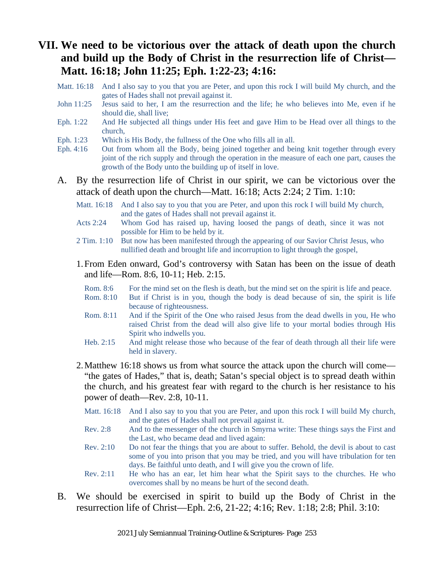#### **VII. We need to be victorious over the attack of death upon the church and build up the Body of Christ in the resurrection life of Christ— Matt. 16:18; John 11:25; Eph. 1:22-23; 4:16:**

- Matt. 16:18 And I also say to you that you are Peter, and upon this rock I will build My church, and the gates of Hades shall not prevail against it.
- John 11:25 Jesus said to her, I am the resurrection and the life; he who believes into Me, even if he should die, shall live;
- Eph. 1:22 And He subjected all things under His feet and gave Him to be Head over all things to the church,
- Eph. 1:23 Which is His Body, the fullness of the One who fills all in all.
- Eph. 4:16 Out from whom all the Body, being joined together and being knit together through every joint of the rich supply and through the operation in the measure of each one part, causes the growth of the Body unto the building up of itself in love.
- A. By the resurrection life of Christ in our spirit, we can be victorious over the attack of death upon the church—Matt. 16:18; Acts 2:24; 2 Tim. 1:10:
	- Matt. 16:18 And I also say to you that you are Peter, and upon this rock I will build My church, and the gates of Hades shall not prevail against it.
	- Acts 2:24 Whom God has raised up, having loosed the pangs of death, since it was not possible for Him to be held by it.
	- 2 Tim. 1:10 But now has been manifested through the appearing of our Savior Christ Jesus, who nullified death and brought life and incorruption to light through the gospel,
	- 1.From Eden onward, God's controversy with Satan has been on the issue of death and life—Rom. 8:6, 10-11; Heb. 2:15.
		- Rom. 8:6 For the mind set on the flesh is death, but the mind set on the spirit is life and peace.
		- Rom. 8:10 But if Christ is in you, though the body is dead because of sin, the spirit is life because of righteousness.
		- Rom. 8:11 And if the Spirit of the One who raised Jesus from the dead dwells in you, He who raised Christ from the dead will also give life to your mortal bodies through His Spirit who indwells you.
		- Heb. 2:15 And might release those who because of the fear of death through all their life were held in slavery.
	- 2.Matthew 16:18 shows us from what source the attack upon the church will come— "the gates of Hades," that is, death; Satan's special object is to spread death within the church, and his greatest fear with regard to the church is her resistance to his power of death—Rev. 2:8, 10-11.
		- Matt. 16:18 And I also say to you that you are Peter, and upon this rock I will build My church, and the gates of Hades shall not prevail against it.
		- Rev. 2:8 And to the messenger of the church in Smyrna write: These things says the First and the Last, who became dead and lived again:
		- Rev. 2:10 Do not fear the things that you are about to suffer. Behold, the devil is about to cast some of you into prison that you may be tried, and you will have tribulation for ten days. Be faithful unto death, and I will give you the crown of life.
		- Rev. 2:11 He who has an ear, let him hear what the Spirit says to the churches. He who overcomes shall by no means be hurt of the second death.
- B. We should be exercised in spirit to build up the Body of Christ in the resurrection life of Christ—Eph. 2:6, 21-22; 4:16; Rev. 1:18; 2:8; Phil. 3:10: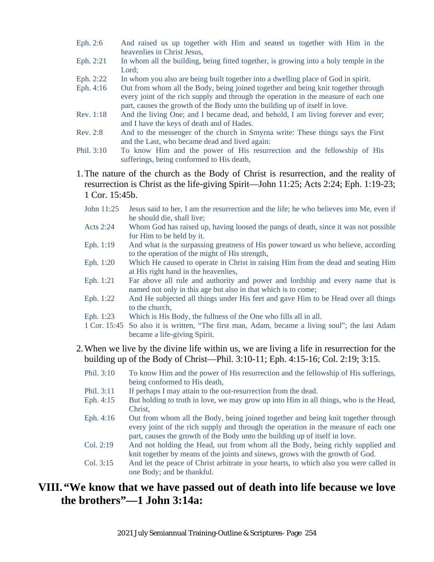- Eph. 2:6 And raised us up together with Him and seated us together with Him in the heavenlies in Christ Jesus,
- Eph. 2:21 In whom all the building, being fitted together, is growing into a holy temple in the Lord;
- Eph. 2:22 In whom you also are being built together into a dwelling place of God in spirit.
- Eph. 4:16 Out from whom all the Body, being joined together and being knit together through every joint of the rich supply and through the operation in the measure of each one part, causes the growth of the Body unto the building up of itself in love.
- Rev. 1:18 And the living One; and I became dead, and behold, I am living forever and ever; and I have the keys of death and of Hades.
- Rev. 2:8 And to the messenger of the church in Smyrna write: These things says the First and the Last, who became dead and lived again:
- Phil. 3:10 To know Him and the power of His resurrection and the fellowship of His sufferings, being conformed to His death,
- 1.The nature of the church as the Body of Christ is resurrection, and the reality of resurrection is Christ as the life-giving Spirit—John 11:25; Acts 2:24; Eph. 1:19-23; 1 Cor. 15:45b.
	- John 11:25 Jesus said to her, I am the resurrection and the life; he who believes into Me, even if he should die, shall live;
	- Acts 2:24 Whom God has raised up, having loosed the pangs of death, since it was not possible for Him to be held by it.
	- Eph. 1:19 And what is the surpassing greatness of His power toward us who believe, according to the operation of the might of His strength,
	- Eph. 1:20 Which He caused to operate in Christ in raising Him from the dead and seating Him at His right hand in the heavenlies,
	- Eph. 1:21 Far above all rule and authority and power and lordship and every name that is named not only in this age but also in that which is to come;
	- Eph. 1:22 And He subjected all things under His feet and gave Him to be Head over all things to the church,
	- Eph. 1:23 Which is His Body, the fullness of the One who fills all in all.
	- 1 Cor. 15:45 So also it is written, "The first man, Adam, became a living soul"; the last Adam became a life-giving Spirit.
- 2.When we live by the divine life within us, we are living a life in resurrection for the building up of the Body of Christ—Phil. 3:10-11; Eph. 4:15-16; Col. 2:19; 3:15.
	- Phil. 3:10 To know Him and the power of His resurrection and the fellowship of His sufferings, being conformed to His death,
	- Phil. 3:11 If perhaps I may attain to the out-resurrection from the dead.
	- Eph. 4:15 But holding to truth in love, we may grow up into Him in all things, who is the Head, Christ,
	- Eph. 4:16 Out from whom all the Body, being joined together and being knit together through every joint of the rich supply and through the operation in the measure of each one part, causes the growth of the Body unto the building up of itself in love.
	- Col. 2:19 And not holding the Head, out from whom all the Body, being richly supplied and knit together by means of the joints and sinews, grows with the growth of God.
	- Col. 3:15 And let the peace of Christ arbitrate in your hearts, to which also you were called in one Body; and be thankful.

#### **VIII. "We know that we have passed out of death into life because we love the brothers"—1 John 3:14a:**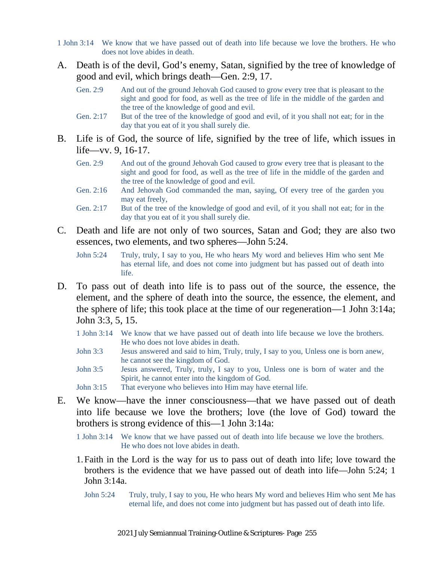- 1 John 3:14 We know that we have passed out of death into life because we love the brothers. He who does not love abides in death.
- A. Death is of the devil, God's enemy, Satan, signified by the tree of knowledge of good and evil, which brings death—Gen. 2:9, 17.
	- Gen. 2:9 And out of the ground Jehovah God caused to grow every tree that is pleasant to the sight and good for food, as well as the tree of life in the middle of the garden and the tree of the knowledge of good and evil.
	- Gen. 2:17 But of the tree of the knowledge of good and evil, of it you shall not eat; for in the day that you eat of it you shall surely die.
- B. Life is of God, the source of life, signified by the tree of life, which issues in life—vv. 9, 16-17.
	- Gen. 2:9 And out of the ground Jehovah God caused to grow every tree that is pleasant to the sight and good for food, as well as the tree of life in the middle of the garden and the tree of the knowledge of good and evil.
	- Gen. 2:16 And Jehovah God commanded the man, saying, Of every tree of the garden you may eat freely,
	- Gen. 2:17 But of the tree of the knowledge of good and evil, of it you shall not eat; for in the day that you eat of it you shall surely die.
- C. Death and life are not only of two sources, Satan and God; they are also two essences, two elements, and two spheres—John 5:24.
	- John 5:24 Truly, truly, I say to you, He who hears My word and believes Him who sent Me has eternal life, and does not come into judgment but has passed out of death into life.
- D. To pass out of death into life is to pass out of the source, the essence, the element, and the sphere of death into the source, the essence, the element, and the sphere of life; this took place at the time of our regeneration—1 John 3:14a; John 3:3, 5, 15.
	- 1 John 3:14 We know that we have passed out of death into life because we love the brothers. He who does not love abides in death.
	- John 3:3 Jesus answered and said to him, Truly, truly, I say to you, Unless one is born anew, he cannot see the kingdom of God.
	- John 3:5 Jesus answered, Truly, truly, I say to you, Unless one is born of water and the Spirit, he cannot enter into the kingdom of God.
	- John 3:15 That everyone who believes into Him may have eternal life.
- E. We know—have the inner consciousness—that we have passed out of death into life because we love the brothers; love (the love of God) toward the brothers is strong evidence of this—1 John 3:14a:
	- 1 John 3:14 We know that we have passed out of death into life because we love the brothers. He who does not love abides in death.
	- 1.Faith in the Lord is the way for us to pass out of death into life; love toward the brothers is the evidence that we have passed out of death into life—John 5:24; 1 John 3:14a.
		- John 5:24 Truly, truly, I say to you, He who hears My word and believes Him who sent Me has eternal life, and does not come into judgment but has passed out of death into life.